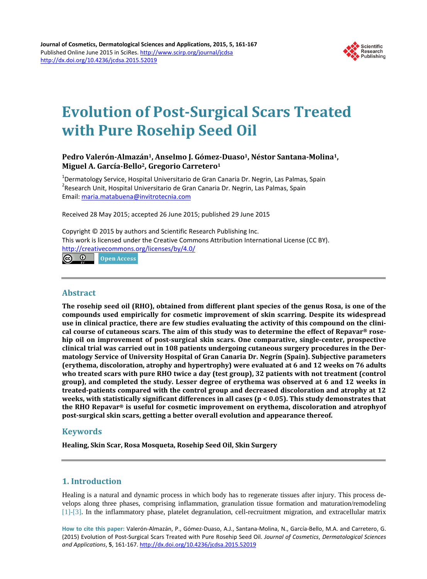

# **Evolution of Post-Surgical Scars Treated with Pure Rosehip Seed Oil**

## Pedro Valerón-Almazán<sup>1</sup>, Anselmo J. Gómez-Duaso<sup>1</sup>, Néstor Santana-Molina<sup>1</sup>, **Miguel A. García-Bello2, Gregorio Carretero1**

<sup>1</sup> Dermatology Service, Hospital Universitario de Gran Canaria Dr. Negrin, Las Palmas, Spain<br><sup>2</sup> Desearch Unit, Hospital Universitatio de Gran Canaria Dr. Nagrin, Las Palmas, Spain <sup>2</sup> Research Unit, Hospital Universitario de Gran Canaria Dr. Negrin, Las Palmas, Spain Email: [maria.matabuena@invitrotecnia.com](mailto:maria.matabuena@invitrotecnia.com)

Received 28 May 2015; accepted 26 June 2015; published 29 June 2015

Copyright © 2015 by authors and Scientific Research Publishing Inc. This work is licensed under the Creative Commons Attribution International License (CC BY). <http://creativecommons.org/licenses/by/4.0/>

 $\circledcirc$ **Open Access** 

## **Abstract**

**The rosehip seed oil (RHO), obtained from different plant species of the genus Rosa, is one of the compounds used empirically for cosmetic improvement of skin scarring. Despite its widespread use in clinical practice, there are few studies evaluating the activity of this compound on the clinical course of cutaneous scars. The aim of this study was to determine the effect of Repavar® rosehip oil on improvement of post-surgical skin scars. One comparative, single-center, prospective clinical trial was carried out in 108 patients undergoing cutaneous surgery procedures in the Dermatology Service of University Hospital of Gran Canaria Dr. Negrín (Spain). Subjective parameters (erythema, discoloration, atrophy and hypertrophy) were evaluated at 6 and 12 weeks on 76 adults who treated scars with pure RHO twice a day (test group), 32 patients with not treatment (control group), and completed the study. Lesser degree of erythema was observed at 6 and 12 weeks in treated-patients compared with the control group and decreased discoloration and atrophy at 12 weeks, with statistically significant differences in all cases (p < 0.05). This study demonstrates that the RHO Repavar® is useful for cosmetic improvement on erythema, discoloration and atrophyof post-surgical skin scars, getting a better overall evolution and appearance thereof.**

# **Keywords**

**Healing, Skin Scar, Rosa Mosqueta, Rosehip Seed Oil, Skin Surgery**

# **1. Introduction**

Healing is a natural and dynamic process in which body has to regenerate tissues after injury. This process develops along three phases, comprising inflammation, granulation tissue formation and maturation/remodeling [\[1\]](#page-5-0)[-\[3\].](#page-6-0) In the inflammatory phase, platelet degranulation, cell-recruitment migration, and extracellular matrix

**How to cite this paper:** Valerón-Almazán, P., Gómez-Duaso, A.J., Santana-Molina, N., García-Bello, M.A. and Carretero, G. (2015) Evolution of Post-Surgical Scars Treated with Pure Rosehip Seed Oil. *Journal of Cosmetics*, *Dermatological Sciences and Applications*, **5**, 161-167. <http://dx.doi.org/10.4236/jcdsa.2015.52019>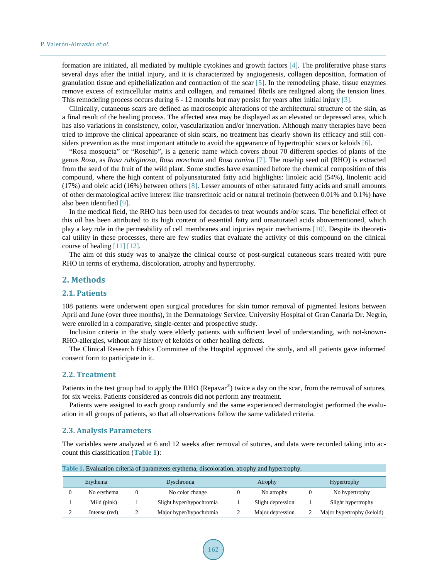formation are initiated, all mediated by multiple cytokines and growth factors [\[4\].](#page-6-1) The proliferative phase starts several days after the initial injury, and it is characterized by angiogenesis, collagen deposition, formation of granulation tissue and epithelialization and contraction of the scar [\[5\].](#page-6-2) In the remodeling phase, tissue enzymes remove excess of extracellular matrix and collagen, and remained fibrils are realigned along the tension lines. This remodeling process occurs during 6 - 12 months but may persist for years after initial injury [\[3\].](#page-6-0)

Clinically, cutaneous scars are defined as macroscopic alterations of the architectural structure of the skin, as a final result of the healing process. The affected area may be displayed as an elevated or depressed area, which has also variations in consistency, color, vascularization and/or innervation. Although many therapies have been tried to improve the clinical appearance of skin scars, no treatment has clearly shown its efficacy and still con-siders prevention as the most important attitude to avoid the appearance of hypertrophic scars or keloids [\[6\].](#page-6-3)

"Rosa mosqueta" or "Rosehip", is a generic name which covers about 70 different species of plants of the genus *Rosa*, as *Rosa rubiginosa*, *Rosa moschata* and *Rosa canina* [\[7\].](#page-6-4) The rosehip seed oil (RHO) is extracted from the seed of the fruit of the wild plant. Some studies have examined before the chemical composition of this compound, where the high content of polyunsaturated fatty acid highlights: linoleic acid (54%), linolenic acid (17%) and oleic acid (16%) between others [\[8\].](#page-6-5) Lesser amounts of other saturated fatty acids and small amounts of other dermatological active interest like transretinoic acid or natural tretinoin (between 0.01% and 0.1%) have also been identified [\[9\].](#page-6-6)

In the medical field, the RHO has been used for decades to treat wounds and/or scars. The beneficial effect of this oil has been attributed to its high content of essential fatty and unsaturated acids abovementioned, which play a key role in the permeability of cell membranes and injuries repair mechanisms [\[10\].](#page-6-7) Despite its theoretical utility in these processes, there are few studies that evaluate the activity of this compound on the clinical course of healing [\[11\]](#page-6-8) [\[12\].](#page-6-9)

The aim of this study was to analyze the clinical course of post-surgical cutaneous scars treated with pure RHO in terms of erythema, discoloration, atrophy and hypertrophy.

#### **2. Methods**

#### **2.1. Patients**

108 patients were underwent open surgical procedures for skin tumor removal of pigmented lesions between April and June (over three months), in the Dermatology Service, University Hospital of Gran Canaria Dr. Negrín, were enrolled in a comparative, single-center and prospective study.

Inclusion criteria in the study were elderly patients with sufficient level of understanding, with not-known-RHO-allergies, without any history of keloids or other healing defects.

The Clinical Research Ethics Committee of the Hospital approved the study, and all patients gave informed consent form to participate in it.

#### **2.2. Treatment**

Patients in the test group had to apply the RHO (Repavar<sup>®</sup>) twice a day on the scar, from the removal of sutures, for six weeks. Patients considered as controls did not perform any treatment.

Patients were assigned to each group randomly and the same experienced dermatologist performed the evaluation in all groups of patients, so that all observations follow the same validated criteria.

## **2.3. Analysis Parameters**

The variables were analyzed at 6 and 12 weeks after removal of sutures, and data were recorded taking into account this classification (**[Table 1](#page-1-0)**):

| Erythema |               | Dyschromia |                          | Atrophy           |  | Hypertrophy                |  |
|----------|---------------|------------|--------------------------|-------------------|--|----------------------------|--|
|          | No erythema   |            | No color change          | No atrophy        |  | No hypertrophy             |  |
|          | Mild (pink)   |            | Slight hyper/hypochromia | Slight depression |  | Slight hypertrophy         |  |
|          | Intense (red) |            | Major hyper/hypochromia  | Major depression  |  | Major hypertrophy (keloid) |  |

<span id="page-1-0"></span>**Table 1.** Evaluation criteria of parameters erythema, discoloration, atrophy and hypertrophy.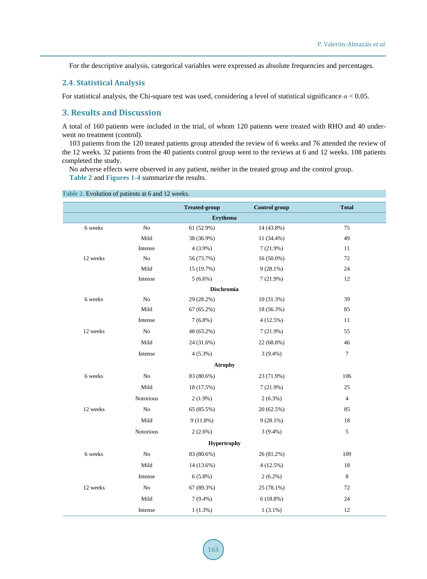For the descriptive analysis, categorical variables were expressed as absolute frequencies and percentages.

#### **2.4. Statistical Analysis**

For statistical analysis, the Chi-square test was used, considering a level of statistical significance *α* < 0.05.

# **3. Results and Discussion**

A total of 160 patients were included in the trial, of whom 120 patients were treated with RHO and 40 underwent no treatment (control).

103 patients from the 120 treated patients group attended the review of 6 weeks and 76 attended the review of the 12 weeks. 32 patients from the 40 patients control group went to the reviews at 6 and 12 weeks. 108 patients completed the study.

No adverse effects were observed in any patient, neither in the treated group and the control group. **[Table 2](#page-2-0)** and **[Figures 1-4](#page-3-0)** summarize the results.

|                    |                  | <b>Treated-group</b> | <b>Control</b> group | <b>Total</b>   |  |  |  |  |  |  |
|--------------------|------------------|----------------------|----------------------|----------------|--|--|--|--|--|--|
| <b>Erythema</b>    |                  |                      |                      |                |  |  |  |  |  |  |
| 6 weeks            | No               | 61 (52.9%)           | 14 (43.8%)           | 75             |  |  |  |  |  |  |
|                    | Mild             | 38 (36.9%)           | 11 (34.4%)           | 49             |  |  |  |  |  |  |
|                    | Intense          | $4(3.9\%)$           | 7(21.9%)             | 11             |  |  |  |  |  |  |
| 12 weeks           | ${\rm No}$       | 56 (73.7%)           | $16(50.0\%)$         | 72             |  |  |  |  |  |  |
|                    | Mild             | 15 (19.7%)           | $9(28.1\%)$          | 24             |  |  |  |  |  |  |
|                    | Intense          | $5(6.6\%)$           | 7(21.9%)             | 12             |  |  |  |  |  |  |
| Dischromia         |                  |                      |                      |                |  |  |  |  |  |  |
| 6 weeks            | ${\rm No}$       | 29 (28.2%)           | 10 (31.3%)           | 39             |  |  |  |  |  |  |
|                    | Mild             | $67(65.2\%)$         | 18 (56.3%)           | 85             |  |  |  |  |  |  |
|                    | Intense          | $7(6.8\%)$           | 4(12.5%)             | 11             |  |  |  |  |  |  |
| 12 weeks           | No               | 48 (63.2%)           | 7(21.9%)             | 55             |  |  |  |  |  |  |
|                    | Mild             | 24 (31.6%)           | 22 (68.8%)           | 46             |  |  |  |  |  |  |
|                    | Intense          | $4(5.3\%)$           | $3(9.4\%)$           | $\tau$         |  |  |  |  |  |  |
| <b>Atrophy</b>     |                  |                      |                      |                |  |  |  |  |  |  |
| 6 weeks            | $\rm No$         | 83 (80.6%)           | 23 (71.9%)           | 106            |  |  |  |  |  |  |
|                    | Mild             | 18 (17.5%)           | 7(21.9%)             | 25             |  |  |  |  |  |  |
|                    | Notorious        | $2(1.9\%)$           | $2(6.3\%)$           | $\overline{4}$ |  |  |  |  |  |  |
| 12 weeks           | No               | 65 (85.5%)           | 20(62.5%)            | 85             |  |  |  |  |  |  |
|                    | Mild             | $9(11.8\%)$          | $9(28.1\%)$          | 18             |  |  |  |  |  |  |
|                    | <b>Notorious</b> | $2(2.6\%)$           | $3(9.4\%)$           | 5              |  |  |  |  |  |  |
| <b>Hypertrophy</b> |                  |                      |                      |                |  |  |  |  |  |  |
| 6 weeks            | No               | 83 (80.6%)           | 26 (81.2%)           | 109            |  |  |  |  |  |  |
|                    | Mild             | 14 (13.6%)           | 4(12.5%)             | 18             |  |  |  |  |  |  |
|                    | Intense          | $6(5.8\%)$           | $2(6.2\%)$           | 8              |  |  |  |  |  |  |
| 12 weeks           | ${\rm No}$       | 67 (89.3%)           | 25 (78.1%)           | 72             |  |  |  |  |  |  |
|                    | Mild             | $7(9.4\%)$           | $6(18.8\%)$          | $24\,$         |  |  |  |  |  |  |
|                    | Intense          | 1(1.3%)              | $1(3.1\%)$           | 12             |  |  |  |  |  |  |

<span id="page-2-0"></span>**Table 2.** Evolution of patients at 6 and 12 weeks.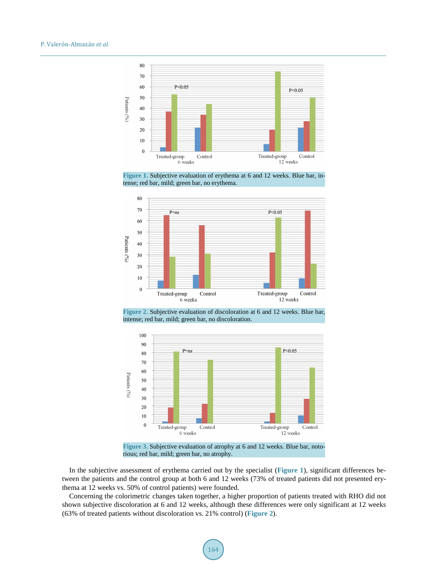<span id="page-3-0"></span>

**Figure 1.** Subjective evaluation of erythema at 6 and 12 weeks. Blue bar, intense; red bar, mild; green bar, no erythema.

<span id="page-3-1"></span>

**Figure 2.** Subjective evaluation of discoloration at 6 and 12 weeks. Blue bar, intense; red bar, mild; green bar, no discoloration.

<span id="page-3-2"></span>

**Figure 3.** Subjective evaluation of atrophy at 6 and 12 weeks. Blue bar, notorious; red bar, mild; green bar, no atrophy.

In the subjective assessment of erythema carried out by the specialist (**[Figure](#page-3-0) 1**), significant differences between the patients and the control group at both 6 and 12 weeks (73% of treated patients did not presented erythema at 12 weeks vs. 50% of control patients) were founded.

Concerning the colorimetric changes taken together, a higher proportion of patients treated with RHO did not shown subjective discoloration at 6 and 12 weeks, although these differences were only significant at 12 weeks (63% of treated patients without discoloration vs. 21% control) (**[Figure 2](#page-3-1)**).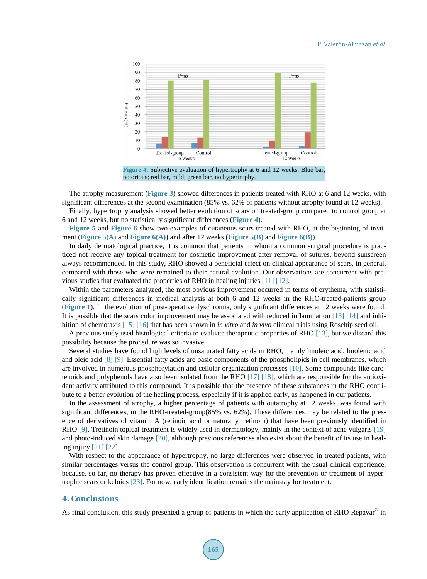#### P. Valerón-Almazán *et al.*

<span id="page-4-0"></span>

**Figure 4.** Subjective evaluation of hypertrophy at 6 and 12 weeks. Blue bar, notorious; red bar, mild; green bar, no hypertrophy.

The atrophy measurement (**[Figure 3](#page-3-2)**) showed differences in patients treated with RHO at 6 and 12 weeks, with significant differences at the second examination (85% vs. 62% of patients without atrophy found at 12 weeks).

Finally, hypertrophy analysis showed better evolution of scars on treated-group compared to control group at 6 and 12 weeks, but no statistically significant differences (**[Figure 4](#page-4-0)**).

**[Figure 5](#page-5-1)** and **[Figure 6](#page-5-2)** show two examples of cutaneous scars treated with RHO, at the beginning of treatment (**[Figure 5\(A\)](#page-5-1)** and **[Figure](#page-5-2) 6(A)**) and after 12 weeks (**[Figure 5\(B\)](#page-5-1)** and **[Figure](#page-5-2) 6(B)**).

In daily dermatological practice, it is common that patients in whom a common surgical procedure is practiced not receive any topical treatment for cosmetic improvement after removal of sutures, beyond sunscreen always recommended. In this study, RHO showed a beneficial effect on clinical appearance of scars, in general, compared with those who were remained to their natural evolution. Our observations are concurrent with previous studies that evaluated the properties of RHO in healing injuries [\[11\]](#page-6-8) [\[12\].](#page-6-9)

Within the parameters analyzed, the most obvious improvement occurred in terms of erythema, with statistically significant differences in medical analysis at both 6 and 12 weeks in the RHO-treated-patients group (**[Figure 1](#page-3-0)**). In the evolution of post-operative dyschromia, only significant differences at 12 weeks were found. It is possible that the scars color improvement may be associated with reduced inflammation [\[13\]](#page-6-10) [\[14\]](#page-6-11) and inhibition of chemotaxis [\[15\]](#page-6-12) [\[16\]](#page-6-13) that has been shown in *in vitro* and *in vivo* clinical trials using Rosehip seed oil.

A previous study used histological criteria to evaluate therapeutic properties of RHO [\[13\],](#page-6-10) but we discard this possibility because the procedure was so invasive.

Several studies have found high levels of unsaturated fatty acids in RHO, mainly linoleic acid, linolenic acid and oleic acid [\[8\]](#page-6-5) [\[9\].](#page-6-6) Essential fatty acids are basic components of the phospholipids in cell membranes, which are involved in numerous phosphorylation and cellular organization processes [\[10\].](#page-6-7) Some compounds like carotenoids and polyphenols have also been isolated from the RHO [\[17\]](#page-6-14) [\[18\],](#page-6-15) which are responsible for the antioxidant activity attributed to this compound. It is possible that the presence of these substances in the RHO contribute to a better evolution of the healing process, especially if it is applied early, as happened in our patients.

In the assessment of atrophy, a higher percentage of patients with outatrophy at 12 weeks, was found with significant differences, in the RHO-treated-group(85% vs. 62%). These differences may be related to the presence of derivatives of vitamin A (retinoic acid or naturally tretinoin) that have been previously identified in RHO [\[9\].](#page-6-6) Tretinoin topical treatment is widely used in dermatology, mainly in the context of acne vulgaris [\[19\]](#page-6-16) and photo-induced skin damage [\[20\],](#page-6-17) although previous references also exist about the benefit of its use in healing injury [\[21\]](#page-6-18) [\[22\].](#page-6-19)

With respect to the appearance of hypertrophy, no large differences were observed in treated patients, with similar percentages versus the control group. This observation is concurrent with the usual clinical experience, because, so far, no therapy has proven effective in a consistent way for the prevention or treatment of hypertrophic scars or keloids [\[23\].](#page-6-20) For now, early identification remains the mainstay for treatment.

## **4. Conclusions**

As final conclusion, this study presented a group of patients in which the early application of RHO Repavar<sup>®</sup> in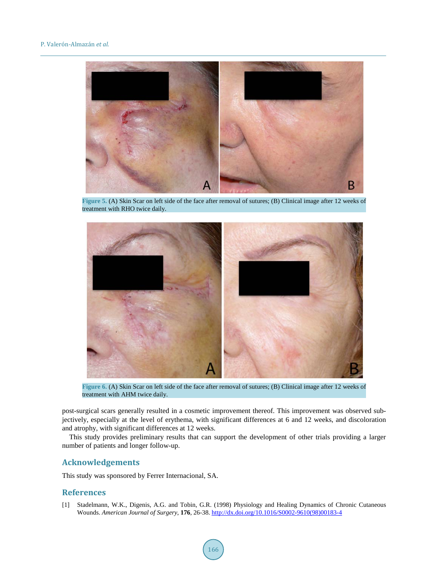<span id="page-5-1"></span>

**Figure 5.** (A) Skin Scar on left side of the face after removal of sutures; (B) Clinical image after 12 weeks of treatment with RHO twice daily.

<span id="page-5-2"></span>

**Figure 6.** (A) Skin Scar on left side of the face after removal of sutures; (B) Clinical image after 12 weeks of treatment with AHM twice daily.

post-surgical scars generally resulted in a cosmetic improvement thereof. This improvement was observed subjectively, especially at the level of erythema, with significant differences at 6 and 12 weeks, and discoloration and atrophy, with significant differences at 12 weeks.

This study provides preliminary results that can support the development of other trials providing a larger number of patients and longer follow-up.

## **Acknowledgements**

This study was sponsored by Ferrer Internacional, SA.

## **References**

<span id="page-5-0"></span>[1] Stadelmann, W.K., Digenis, A.G. and Tobin, G.R. (1998) Physiology and Healing Dynamics of Chronic Cutaneous Wounds. *American Journal of Surgery*, **176**, 26-38. [http://dx.doi.org/10.1016/S0002-9610\(98\)00183-4](http://dx.doi.org/10.1016/S0002-9610(98)00183-4)